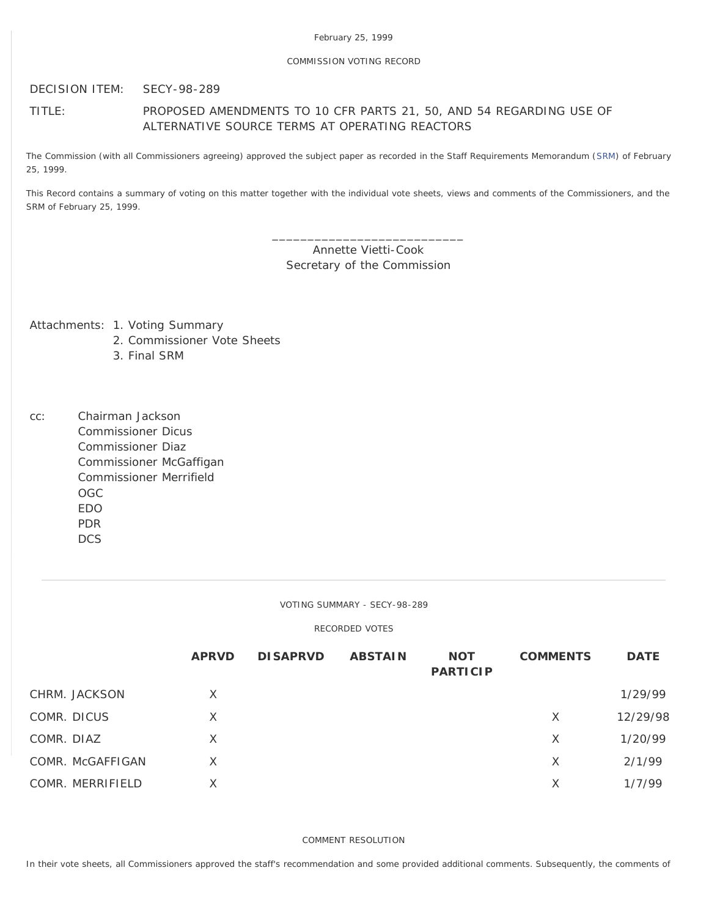# COMMISSION VOTING RECORD

DECISION ITEM: SECY-98-289

# TITLE: PROPOSED AMENDMENTS TO 10 CFR PARTS 21, 50, AND 54 REGARDING USE OF ALTERNATIVE SOURCE TERMS AT OPERATING REACTORS

The Commission (with all Commissioners agreeing) approved the subject paper as recorded in the Staff Requirements Memorandum [\(SRM](http://www.nrc.gov/reading-rm/doc-collections/commission/srm/1998/1998-289srm.html)) of February 25, 1999.

This Record contains a summary of voting on this matter together with the individual vote sheets, views and comments of the Commissioners, and the SRM of February 25, 1999.

> \_\_\_\_\_\_\_\_\_\_\_\_\_\_\_\_\_\_\_\_\_\_\_\_\_\_\_ Annette Vietti-Cook Secretary of the Commission

Attachments: 1. Voting Summary

- 2. Commissioner Vote Sheets
- 3. Final SRM
- cc: Chairman Jackson Commissioner Dicus Commissioner Diaz Commissioner McGaffigan Commissioner Merrifield OGC EDO PDR DCS

VOTING SUMMARY - SECY-98-289

RECORDED VOTES

|                  | <b>APRVD</b> | <b>DISAPRVD</b> | <b>ABSTAIN</b> | <b>NOT</b><br><b>PARTICIP</b> | <b>COMMENTS</b> | <b>DATE</b> |
|------------------|--------------|-----------------|----------------|-------------------------------|-----------------|-------------|
| CHRM. JACKSON    | X            |                 |                |                               |                 | 1/29/99     |
| COMR. DICUS      | X            |                 |                |                               | X               | 12/29/98    |
| COMR. DIAZ       | X            |                 |                |                               | $\times$        | 1/20/99     |
| COMR. McGAFFIGAN | X            |                 |                |                               | $\times$        | 2/1/99      |
| COMR. MERRIFIELD | X            |                 |                |                               | X               | 1/7/99      |

COMMENT RESOLUTION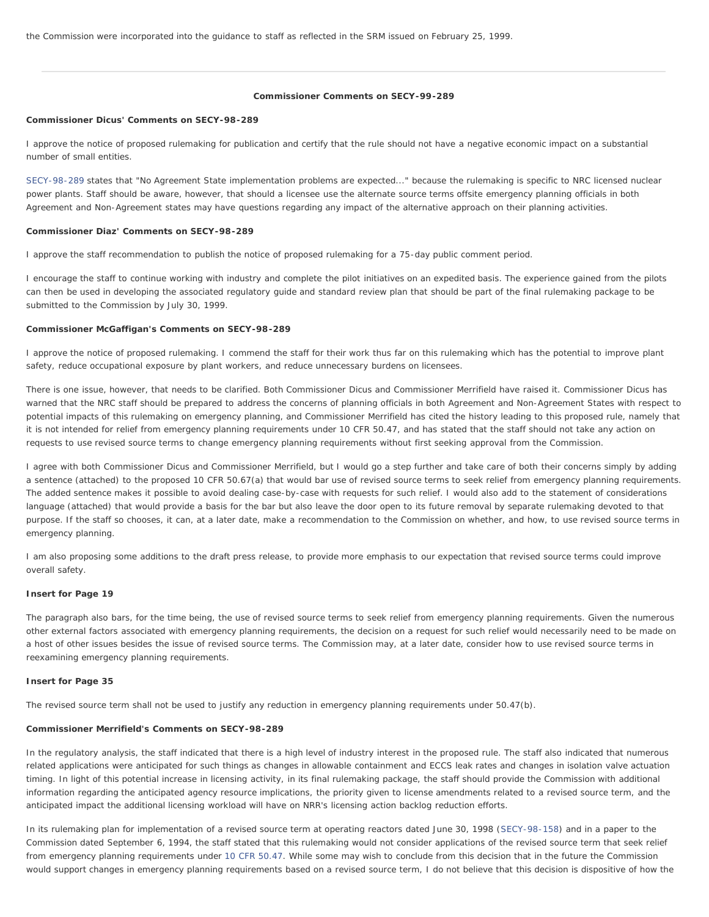#### **Commissioner Comments on SECY-99-289**

#### **Commissioner Dicus' Comments on SECY-98-289**

I approve the notice of proposed rulemaking for publication and certify that the rule should not have a negative economic impact on a substantial number of small entities.

[SECY-98-289](http://www.nrc.gov/reading-rm/doc-collections/commission/secys/1998/secy1998-289/1998-289scy.html) states that "No Agreement State implementation problems are expected..." because the rulemaking is specific to NRC licensed nuclear power plants. Staff should be aware, however, that should a licensee use the alternate source terms offsite emergency planning officials in both Agreement and Non-Agreement states may have questions regarding any impact of the alternative approach on their planning activities.

### **Commissioner Diaz' Comments on SECY-98-289**

I approve the staff recommendation to publish the notice of proposed rulemaking for a 75-day public comment period.

I encourage the staff to continue working with industry and complete the pilot initiatives on an expedited basis. The experience gained from the pilots can then be used in developing the associated regulatory guide and standard review plan that should be part of the final rulemaking package to be submitted to the Commission by July 30, 1999.

#### **Commissioner McGaffigan's Comments on SECY-98-289**

I approve the notice of proposed rulemaking. I commend the staff for their work thus far on this rulemaking which has the potential to improve plant safety, reduce occupational exposure by plant workers, and reduce unnecessary burdens on licensees.

There is one issue, however, that needs to be clarified. Both Commissioner Dicus and Commissioner Merrifield have raised it. Commissioner Dicus has warned that the NRC staff should be prepared to address the concerns of planning officials in both Agreement and Non-Agreement States with respect to potential impacts of this rulemaking on emergency planning, and Commissioner Merrifield has cited the history leading to this proposed rule, namely that it is not intended for relief from emergency planning requirements under 10 CFR 50.47, and has stated that the staff should not take any action on requests to use revised source terms to change emergency planning requirements without first seeking approval from the Commission.

I agree with both Commissioner Dicus and Commissioner Merrifield, but I would go a step further and take care of both their concerns simply by adding a sentence (attached) to the proposed 10 CFR 50.67(a) that would bar use of revised source terms to seek relief from emergency planning requirements. The added sentence makes it possible to avoid dealing case-by-case with requests for such relief. I would also add to the statement of considerations language (attached) that would provide a basis for the bar but also leave the door open to its future removal by separate rulemaking devoted to that purpose. If the staff so chooses, it can, at a later date, make a recommendation to the Commission on whether, and how, to use revised source terms in emergency planning.

I am also proposing some additions to the draft press release, to provide more emphasis to our expectation that revised source terms could improve overall safety.

# **Insert for Page 19**

The paragraph also bars, for the time being, the use of revised source terms to seek relief from emergency planning requirements. Given the numerous other external factors associated with emergency planning requirements, the decision on a request for such relief would necessarily need to be made on a host of other issues besides the issue of revised source terms. The Commission may, at a later date, consider how to use revised source terms in reexamining emergency planning requirements.

# **Insert for Page 35**

The revised source term shall not be used to justify any reduction in emergency planning requirements under 50.47(b).

#### **Commissioner Merrifield's Comments on SECY-98-289**

In the regulatory analysis, the staff indicated that there is a high level of industry interest in the proposed rule. The staff also indicated that numerous related applications were anticipated for such things as changes in allowable containment and ECCS leak rates and changes in isolation valve actuation timing. In light of this potential increase in licensing activity, in its final rulemaking package, the staff should provide the Commission with additional information regarding the anticipated agency resource implications, the priority given to license amendments related to a revised source term, and the anticipated impact the additional licensing workload will have on NRR's licensing action backlog reduction efforts.

In its rulemaking plan for implementation of a revised source term at operating reactors dated June 30, 1998 ([SECY-98-158\)](http://www.nrc.gov/reading-rm/doc-collections/commission/secys/1998/secy1998-158/1998-158scy.html) and in a paper to the Commission dated September 6, 1994, the staff stated that this rulemaking would not consider applications of the revised source term that seek relief from emergency planning requirements under [10 CFR 50.47](http://www.nrc.gov/reading-rm/doc-collections/cfr/part050/part050-0047.html). While some may wish to conclude from this decision that in the future the Commission would support changes in emergency planning requirements based on a revised source term, I do not believe that this decision is dispositive of how the